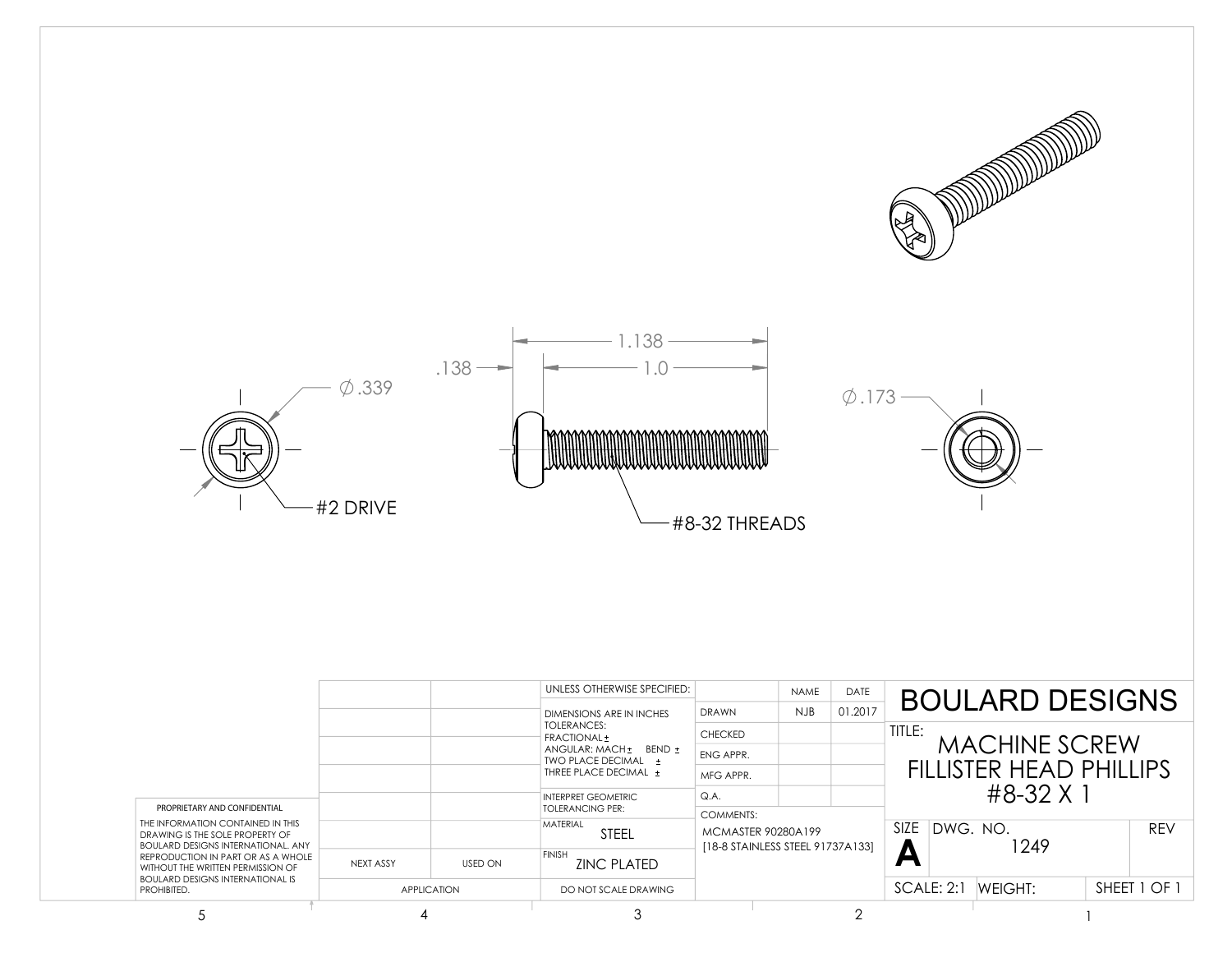





|                                                                                                                                   |           |                    | UNLESS OTHERWISE SPECIFIED:<br>DIMENSIONS ARE IN INCHES | DRAWN                            | NAME<br><b>NJB</b> | DATE<br>01.2017 |                             | <b>BOULARD DESIGNS</b>  |         |            |
|-----------------------------------------------------------------------------------------------------------------------------------|-----------|--------------------|---------------------------------------------------------|----------------------------------|--------------------|-----------------|-----------------------------|-------------------------|---------|------------|
|                                                                                                                                   |           |                    | TOLERANCES:<br>FRACTIONAL ±                             | <b>CHECKED</b>                   |                    |                 | TITLE:                      |                         |         |            |
|                                                                                                                                   |           |                    | $ANGULAR: MACH + BEND +$<br><b>TWO PLACE DECIMAL +</b>  | ENG APPR.                        |                    |                 |                             | MACHINE SCREW           |         |            |
|                                                                                                                                   |           |                    | THREE PLACE DECIMAL +                                   | MFG APPR.                        |                    |                 |                             | FILLISTER HEAD PHILLIPS |         |            |
| PROPRIETARY AND CONFIDENTIAL                                                                                                      |           |                    | <b>INTERPRET GEOMETRIC</b><br><b>TOLERANCING PER:</b>   | Q.A.                             |                    |                 |                             | $\#8 - 32 \times 1$     |         |            |
| THE INFORMATION CONTAINED IN THIS<br>DRAWING IS THE SOI F PROPERTY OF<br><b>BOULARD DESIGNS INTERNATIONAL, ANY</b>                |           |                    | <b>MATERIAL</b><br><b>STEEL</b>                         | COMMENTS:<br>MCMASTER 90280A199  |                    |                 | SIZE IDWG, NO.<br>1249<br>Л |                         |         | <b>REV</b> |
| REPRODUCTION IN PART OR AS A WHOLE<br>WITHOUT THE WRITTEN PERMISSION OF<br><b>BOULARD DESIGNS INTERNATIONAL IS</b><br>PROHIBITED. | NEXT ASSY | <b>USED ON</b>     | <b>FINISH</b><br><b>ZINC PLATED</b>                     | [18-8 STAINLESS STEEL 91737A133] |                    |                 |                             |                         |         |            |
|                                                                                                                                   |           | <b>APPLICATION</b> | DO NOT SCALE DRAWING                                    |                                  |                    |                 |                             | SCALE: 2:1              | WFIGHT: |            |
|                                                                                                                                   |           |                    |                                                         |                                  |                    |                 |                             |                         |         |            |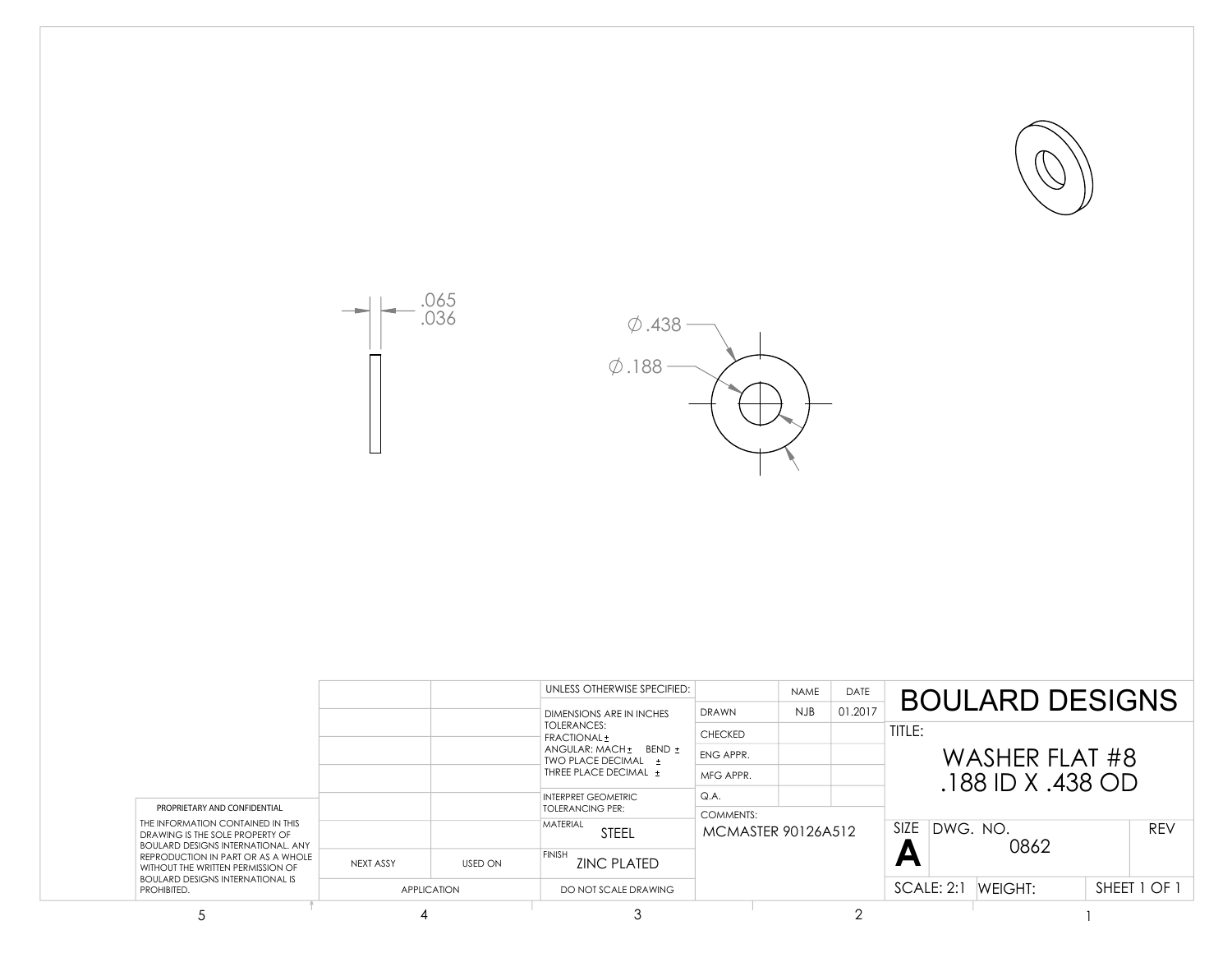





|                                                                                                                                                                                                                                                        |           |                    | UNLESS OTHERWISE SPECIFIED:                                                                                              |                | <b>NAME</b>        | DATE    |                | <b>BOULARD DESIGNS</b> |         |            |
|--------------------------------------------------------------------------------------------------------------------------------------------------------------------------------------------------------------------------------------------------------|-----------|--------------------|--------------------------------------------------------------------------------------------------------------------------|----------------|--------------------|---------|----------------|------------------------|---------|------------|
|                                                                                                                                                                                                                                                        |           |                    | DIMENSIONS ARE IN INCHES                                                                                                 | <b>DRAWN</b>   | <b>NJB</b>         | 01.2017 |                |                        |         |            |
|                                                                                                                                                                                                                                                        |           |                    | <b>TOLERANCES:</b><br>FRACTIONAL ±                                                                                       | <b>CHECKED</b> |                    |         | TITLE:         |                        |         |            |
|                                                                                                                                                                                                                                                        |           |                    | ANGULAR: MACH + BEND +<br>TWO PLACE DECIMAL +<br>THREE PLACE DECIMAL +<br>INTERPRET GEOMETRIC<br><b>TOLERANCING PER:</b> | ENG APPR.      |                    |         | WASHER FLAT #8 |                        |         |            |
|                                                                                                                                                                                                                                                        |           |                    |                                                                                                                          | MFG APPR.      |                    |         |                |                        |         |            |
|                                                                                                                                                                                                                                                        |           |                    |                                                                                                                          | Q.A            |                    |         |                | $.188$ ID X $.438$ OD  |         |            |
| PROPRIETARY AND CONFIDENTIAL                                                                                                                                                                                                                           |           |                    |                                                                                                                          | COMMENTS:      |                    |         |                |                        |         |            |
| THE INFORMATION CONTAINED IN THIS<br>DRAWING IS THE SOLE PROPERTY OF<br><b>BOULARD DESIGNS INTERNATIONAL, ANY</b><br>REPRODUCTION IN PART OR AS A WHOLE<br>WITHOUT THE WRITTEN PERMISSION OF<br><b>BOULARD DESIGNS INTERNATIONAL IS</b><br>PROHIBITED. |           |                    | MATERIAL<br><b>STEEL</b>                                                                                                 |                | MCMASTER 90126A512 |         | SIZE           | IDWG. NO.<br>0862      |         | <b>REV</b> |
|                                                                                                                                                                                                                                                        | NFXT ASSY | <b>USED ON</b>     | <b>FINISH</b><br><b>ZINC PLATED</b>                                                                                      |                |                    |         | ┍              |                        |         |            |
|                                                                                                                                                                                                                                                        |           | <b>APPLICATION</b> | DO NOT SCALE DRAWING                                                                                                     |                |                    |         |                | SCALE: 2:1             | WEIGHT: |            |
|                                                                                                                                                                                                                                                        |           |                    |                                                                                                                          |                |                    |         |                |                        |         |            |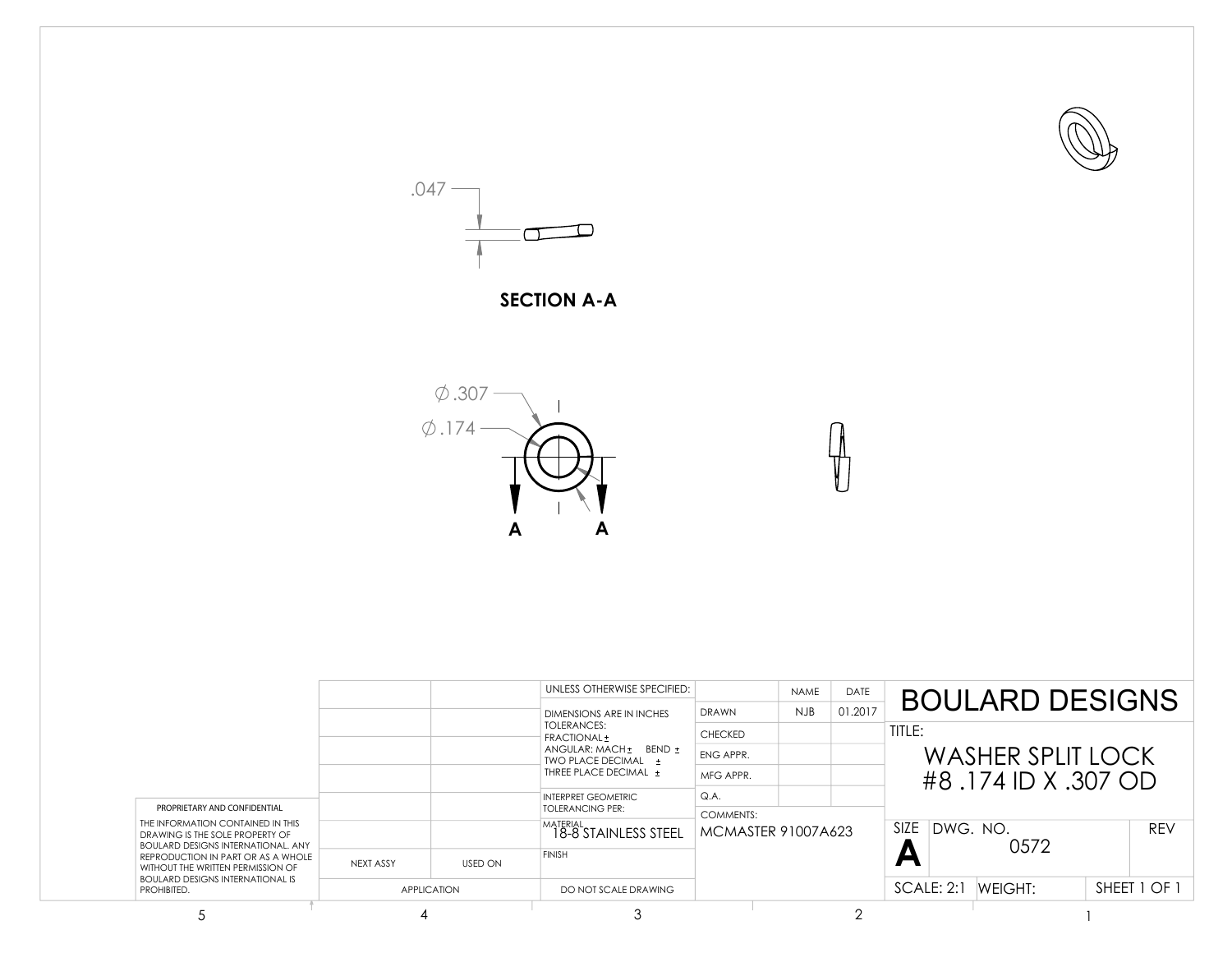



## **SECTION A-A**



|                                                                                                                                                                                                                                                                                        |           |                    | UNLESS OTHERWISE SPECIFIED:                                            | DRAWN                   | <b>NAME</b><br>NJB | <b>DATE</b><br>01.2017 |                          | <b>BOULARD DESIGNS</b> |  |              |  |
|----------------------------------------------------------------------------------------------------------------------------------------------------------------------------------------------------------------------------------------------------------------------------------------|-----------|--------------------|------------------------------------------------------------------------|-------------------------|--------------------|------------------------|--------------------------|------------------------|--|--------------|--|
|                                                                                                                                                                                                                                                                                        |           |                    | DIMENSIONS ARE IN INCHES<br><b>TOLERANCES:</b><br>FRACTIONAL ±         | <b>CHECKED</b>          |                    |                        | TITLE:                   |                        |  |              |  |
|                                                                                                                                                                                                                                                                                        |           |                    | ANGULAR: MACH + BEND +<br>TWO PLACE DECIMAL +<br>THREE PLACE DECIMAL + | ENG APPR.               |                    |                        | <b>WASHER SPLIT LOCK</b> |                        |  |              |  |
|                                                                                                                                                                                                                                                                                        |           |                    |                                                                        | MFG APPR.               |                    |                        | #8.174 ID X.307 OD       |                        |  |              |  |
| PROPRIETARY AND CONFIDENTIAL<br>THE INFORMATION CONTAINED IN THIS<br>DRAWING IS THE SOLE PROPERTY OF<br><b>BOULARD DESIGNS INTERNATIONAL, ANY</b><br>REPRODUCTION IN PART OR AS A WHOLE<br>WITHOUT THE WRITTEN PERMISSION OF<br><b>BOULARD DESIGNS INTERNATIONAL IS</b><br>PROHIBITED. |           |                    | INTERPRET GEOMETRIC<br><b>TOLERANCING PER:</b>                         | Q.A<br><b>COMMENTS:</b> |                    |                        |                          |                        |  |              |  |
|                                                                                                                                                                                                                                                                                        |           |                    | MATERIAL<br>18-8 STAINLESS STEEL                                       | MCMASTER 91007A623      |                    |                        | SIZE DWG, NO.<br>0572    |                        |  | <b>REV</b>   |  |
|                                                                                                                                                                                                                                                                                        | NEXT ASSY | <b>USED ON</b>     | <b>FINISH</b>                                                          |                         |                    |                        |                          |                        |  |              |  |
|                                                                                                                                                                                                                                                                                        |           | <b>APPLICATION</b> | DO NOT SCALE DRAWING                                                   |                         |                    |                        | SCALE: 2:1               | WFIGHT:                |  | SHEET 1 OF 1 |  |
|                                                                                                                                                                                                                                                                                        |           |                    |                                                                        |                         |                    |                        |                          |                        |  |              |  |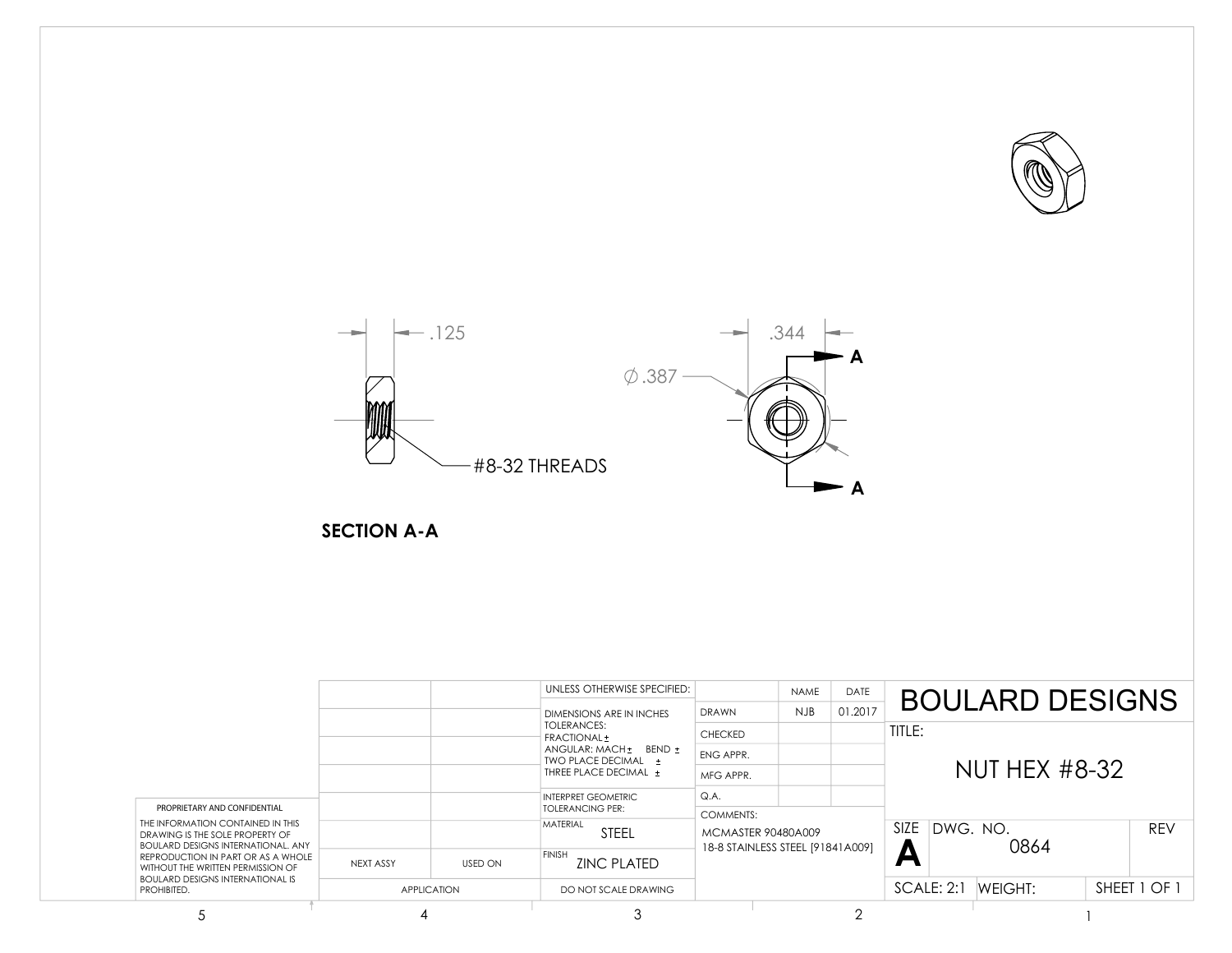



**SECTION A-A**

|                                                                                                                                                                                                                                                                                        |           |                    | UNLESS OTHERWISE SPECIFIED:<br>DIMENSIONS ARE IN INCHES                | <b>DRAWN</b>                                                                      | <b>NAME</b><br><b>NJB</b> | DATE<br>01.2017 |                       |  | <b>BOULARD DESIGNS</b> |            |            |                |  |
|----------------------------------------------------------------------------------------------------------------------------------------------------------------------------------------------------------------------------------------------------------------------------------------|-----------|--------------------|------------------------------------------------------------------------|-----------------------------------------------------------------------------------|---------------------------|-----------------|-----------------------|--|------------------------|------------|------------|----------------|--|
|                                                                                                                                                                                                                                                                                        |           |                    | TOLERANCES:<br>FRACTIONAL ±                                            | <b>CHECKED</b>                                                                    |                           |                 | TITLE:                |  |                        |            |            |                |  |
| PROPRIETARY AND CONFIDENTIAL<br>THE INFORMATION CONTAINED IN THIS<br>DRAWING IS THE SOLE PROPERTY OF<br><b>BOULARD DESIGNS INTERNATIONAL, ANY</b><br>REPRODUCTION IN PART OR AS A WHOLE<br>WITHOUT THE WRITTEN PERMISSION OF<br><b>BOULARD DESIGNS INTERNATIONAL IS</b><br>PROHIBITED. |           |                    | ANGULAR: MACH + BEND +<br>TWO PLACE DECIMAL +<br>THREE PLACE DECIMAL + | ENG APPR.                                                                         |                           |                 | NUT HEX #8-32         |  |                        |            |            |                |  |
|                                                                                                                                                                                                                                                                                        |           |                    |                                                                        | MFG APPR.                                                                         |                           |                 |                       |  |                        |            |            |                |  |
|                                                                                                                                                                                                                                                                                        |           |                    | <b>INTERPRET GEOMETRIC</b><br><b>TOLERANCING PER:</b>                  | Q.A.                                                                              |                           |                 |                       |  |                        |            |            |                |  |
|                                                                                                                                                                                                                                                                                        |           |                    | <b>MATERIAL</b><br><b>STEEL</b>                                        | <b>COMMENTS:</b><br><b>MCMASTER 90480A009</b><br>18-8 STAINLESS STEEL [91841A009] |                           |                 | SIZE DWG. NO.<br>0864 |  |                        | <b>REV</b> |            |                |  |
|                                                                                                                                                                                                                                                                                        | NEXT ASSY | <b>USED ON</b>     | <b>FINISH</b><br><b>ZINC PLATED</b>                                    |                                                                                   |                           |                 |                       |  |                        |            |            |                |  |
|                                                                                                                                                                                                                                                                                        |           | <b>APPLICATION</b> | DO NOT SCALE DRAWING                                                   |                                                                                   |                           |                 |                       |  |                        |            | SCALE: 2:1 | <b>WEIGHT:</b> |  |
|                                                                                                                                                                                                                                                                                        | 4         |                    |                                                                        |                                                                                   |                           |                 |                       |  |                        |            |            |                |  |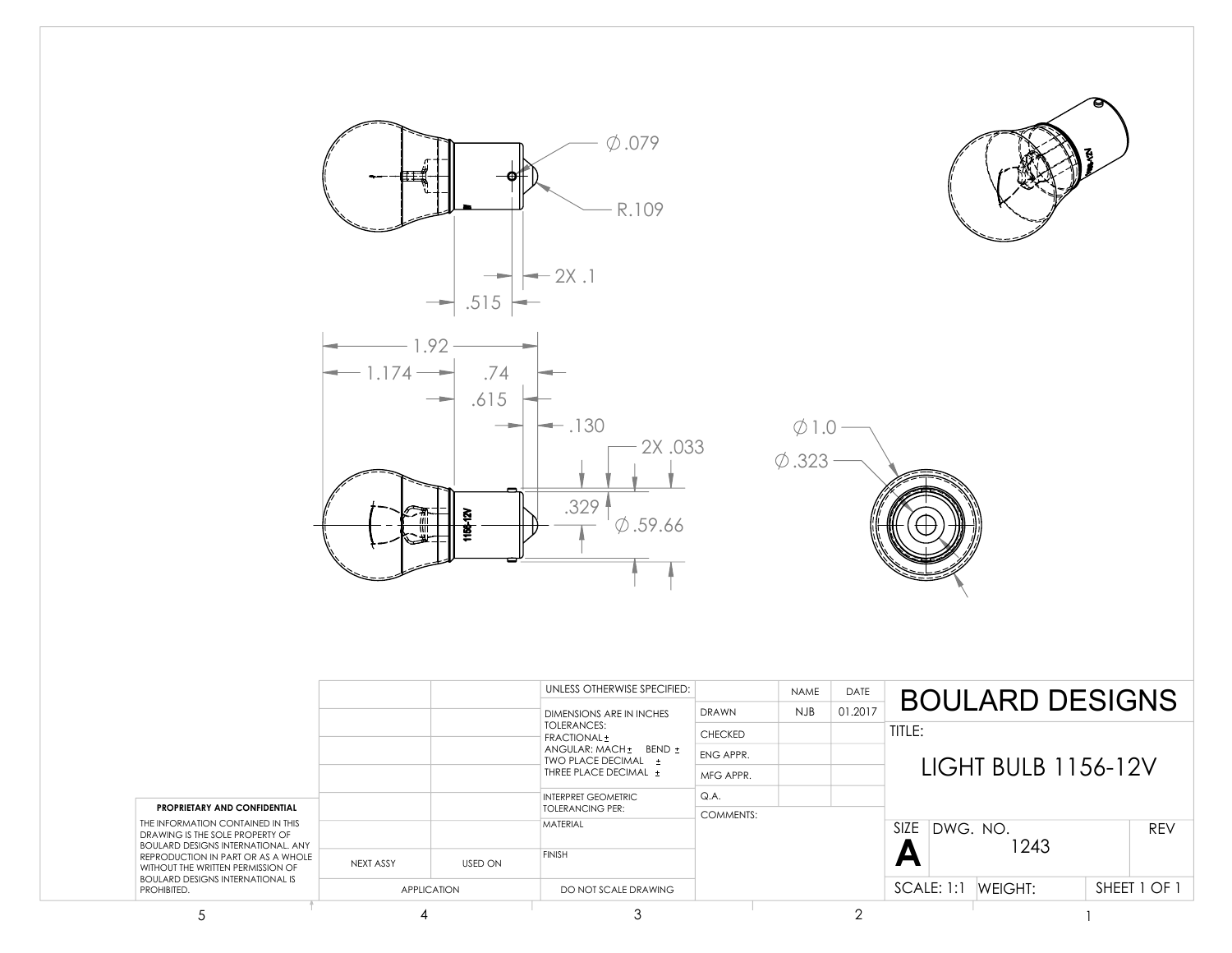

**PROPRIETARY AND CONFIDENTIAL** THE INFORMATION CONTAINED IN THIS DRAWING IS THE SOLE PROPERTY OF BOULARD DESIGNS INTERNATIONAL. ANY REPRODUCTION IN PART OR AS A WHOLE WITHOUT THE WRITTEN PERMISSION OF BOULARD DESIGNS INTERNATIONAL IS PROHIBITED.

DO NOT SCALE DRAWING

COMMENTS:

**FINISH** MATERIAL

APPLICATION NEXT ASSY USED ON TOLERANCING PER:

 $5$  and  $4$  3  $2$  1

**A**

1243

SIZE DWG. NO. REV

SCALE: 1:1 WEIGHT:

SHEET 1 OF 1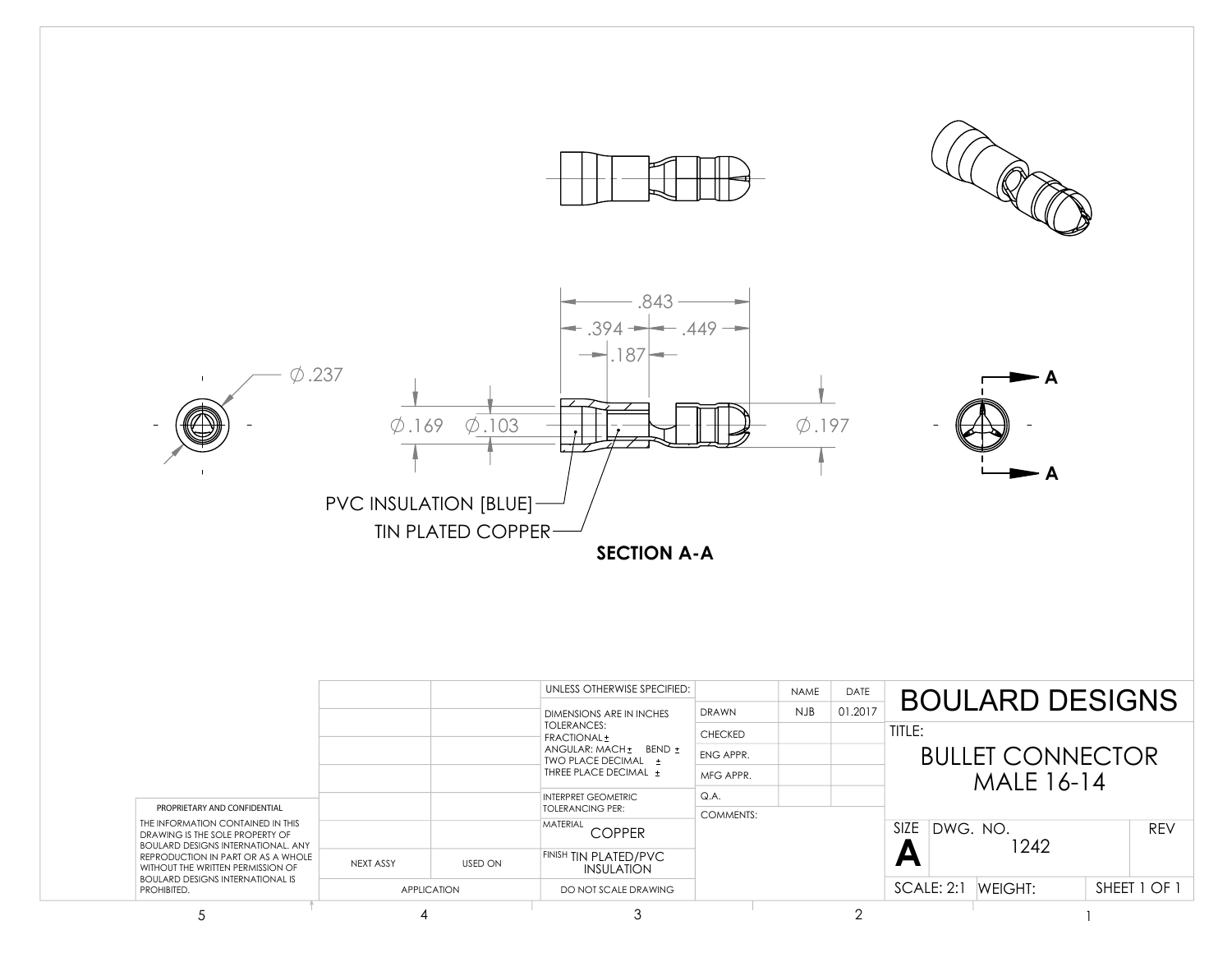

|                                                                                                                                                                                                                                                        |           |                    | UNLESS OTHERWISE SPECIFIED:                                                                                                     |                | <b>NAME</b> | DATE    |                          |                        |     |              |
|--------------------------------------------------------------------------------------------------------------------------------------------------------------------------------------------------------------------------------------------------------|-----------|--------------------|---------------------------------------------------------------------------------------------------------------------------------|----------------|-------------|---------|--------------------------|------------------------|-----|--------------|
|                                                                                                                                                                                                                                                        |           |                    | DIMENSIONS ARE IN INCHES                                                                                                        | <b>DRAWN</b>   | <b>NJB</b>  | 01.2017 |                          | <b>BOULARD DESIGNS</b> |     |              |
|                                                                                                                                                                                                                                                        |           |                    | TOLERANCES:<br>FRACTIONAL ±                                                                                                     | <b>CHECKED</b> |             |         | TITLE:                   |                        |     |              |
|                                                                                                                                                                                                                                                        |           |                    | ANGULAR: MACH + BEND +<br>TWO PLACE DECIMAL +<br>THREE PLACE DECIMAL +<br><b>INTERPRET GEOMETRIC</b><br><b>TOLERANCING PER:</b> | ENG APPR.      |             |         | <b>BULLET CONNECTOR</b>  |                        |     |              |
|                                                                                                                                                                                                                                                        |           |                    |                                                                                                                                 | MFG APPR.      |             |         |                          |                        |     |              |
|                                                                                                                                                                                                                                                        |           |                    |                                                                                                                                 | Q.A.           |             |         |                          |                        |     |              |
| PROPRIETARY AND CONFIDENTIAL                                                                                                                                                                                                                           |           |                    |                                                                                                                                 | COMMENTS:      |             |         |                          |                        |     |              |
| THE INFORMATION CONTAINED IN THIS<br>DRAWING IS THE SOLE PROPERTY OF<br><b>BOULARD DESIGNS INTERNATIONAL, ANY</b><br>REPRODUCTION IN PART OR AS A WHOLE<br>WITHOUT THE WRITTEN PERMISSION OF<br><b>BOULARD DESIGNS INTERNATIONAL IS</b><br>PROHIBITED. |           |                    | MATERIAL<br><b>COPPER</b>                                                                                                       |                |             |         | DWG. NO.<br>SIZE<br>1242 |                        | REV |              |
|                                                                                                                                                                                                                                                        | NFXT ASSY | <b>USED ON</b>     | <b>FINISH TIN PLATED/PVC</b><br>INSULATION                                                                                      |                |             |         | E                        |                        |     |              |
|                                                                                                                                                                                                                                                        |           | <b>APPLICATION</b> | DO NOT SCALE DRAWING                                                                                                            |                |             |         | SCALE: 2:1               | WEIGHT:                |     | SHEET 1 OF 1 |
|                                                                                                                                                                                                                                                        |           |                    |                                                                                                                                 |                |             |         |                          |                        |     |              |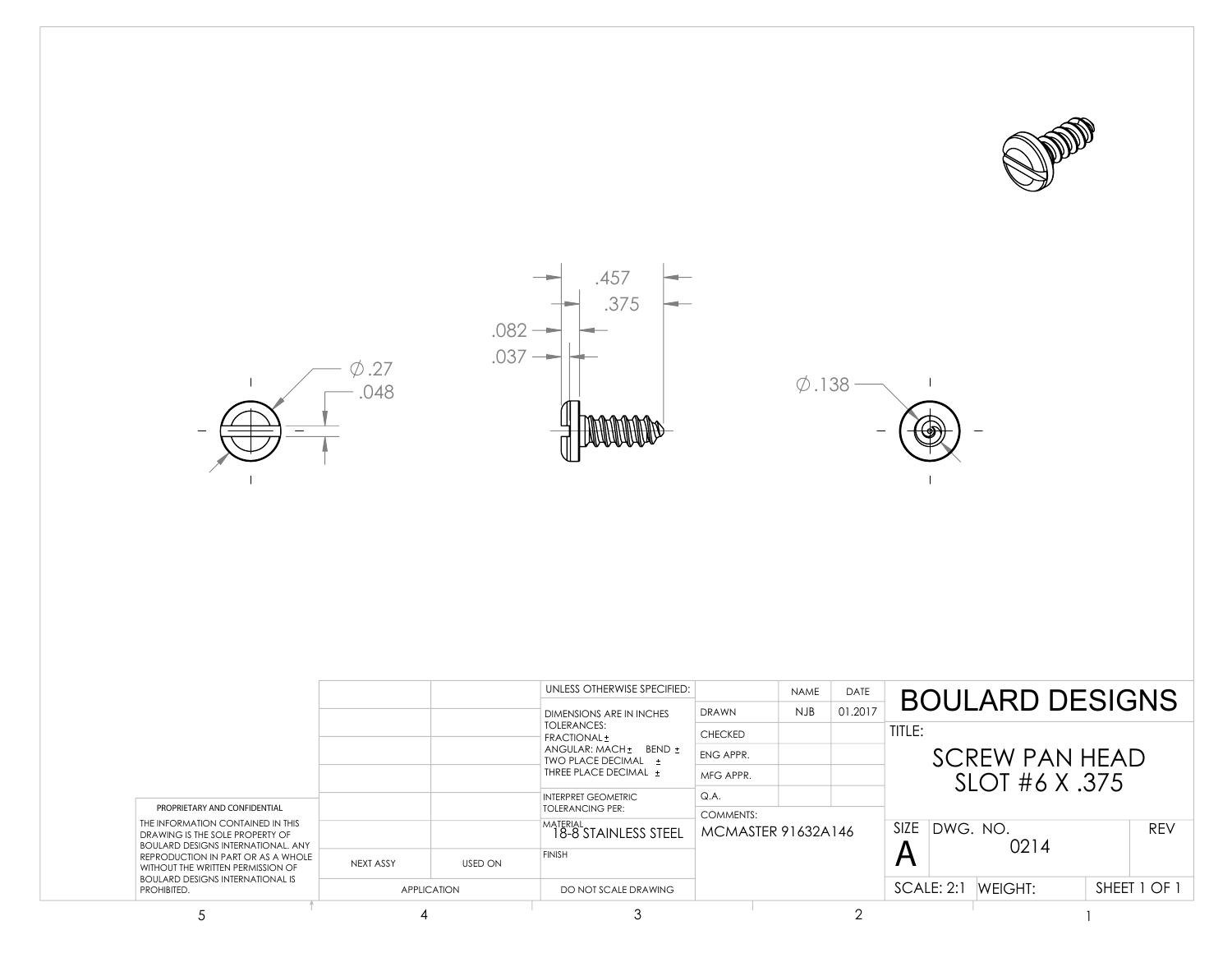



 $\phi$ .138 –

 $\mathbb T$ 



|                                                                                                                                                                                                                                                                                        |                    |                | UNLESS OTHERWISE SPECIFIED:<br>DIMENSIONS ARE IN INCHES                                              | <b>DRAWN</b>                           | <b>NAME</b><br><b>NJB</b> | <b>DATE</b><br>01.2017 |                         | <b>BOULARD DESIGNS</b> |  |              |
|----------------------------------------------------------------------------------------------------------------------------------------------------------------------------------------------------------------------------------------------------------------------------------------|--------------------|----------------|------------------------------------------------------------------------------------------------------|----------------------------------------|---------------------------|------------------------|-------------------------|------------------------|--|--------------|
|                                                                                                                                                                                                                                                                                        |                    |                | <b>TOLERANCES:</b><br>FRACTIONAL ±                                                                   | <b>CHECKED</b>                         |                           |                        | TITLE:                  |                        |  |              |
| PROPRIETARY AND CONFIDENTIAL<br>THE INFORMATION CONTAINED IN THIS<br>DRAWING IS THE SOLE PROPERTY OF<br><b>BOULARD DESIGNS INTERNATIONAL, ANY</b><br>REPRODUCTION IN PART OR AS A WHOLE<br>WITHOUT THE WRITTEN PERMISSION OF<br><b>BOULARD DESIGNS INTERNATIONAL IS</b><br>PROHIBITED. |                    |                | ANGULAR: MACH + BEND +<br>TWO PLACE DECIMAL +<br>THREE PLACE DECIMAL +<br><b>INTERPRET GEOMETRIC</b> | ENG APPR.                              |                           |                        |                         | <b>SCREW PAN HEAD</b>  |  |              |
|                                                                                                                                                                                                                                                                                        |                    |                |                                                                                                      | MFG APPR.                              |                           |                        |                         | SLOT #6 X .375         |  |              |
|                                                                                                                                                                                                                                                                                        |                    |                |                                                                                                      | Q.A.                                   |                           |                        |                         |                        |  |              |
|                                                                                                                                                                                                                                                                                        |                    |                | <b>TOLERANCING PER:</b><br>MATERIAL<br>18-8 STAINLESS STEEL                                          | <b>COMMENTS:</b><br>MCMASTER 91632A146 |                           |                        | <b>SIZE</b><br>DWG. NO. | 0214                   |  | <b>REV</b>   |
|                                                                                                                                                                                                                                                                                        | NEXT ASSY          | <b>USED ON</b> | <b>FINISH</b>                                                                                        |                                        |                           |                        |                         |                        |  |              |
|                                                                                                                                                                                                                                                                                        | <b>APPLICATION</b> |                | DO NOT SCALE DRAWING                                                                                 |                                        |                           |                        | SCALE: 2:1              | WEIGHT:                |  | SHEET 1 OF 1 |
|                                                                                                                                                                                                                                                                                        |                    |                |                                                                                                      |                                        |                           |                        |                         |                        |  |              |